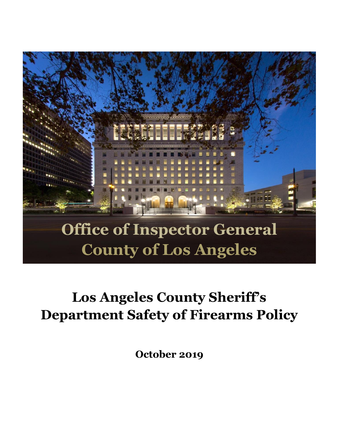

# **Los Angeles County Sheriff's Department Safety of Firearms Policy**

**October 2019**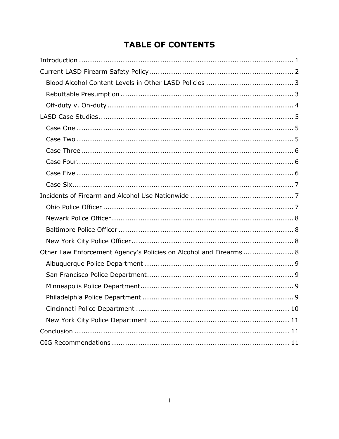# **TABLE OF CONTENTS**

| Other Law Enforcement Agency's Policies on Alcohol and Firearms  8 |
|--------------------------------------------------------------------|
|                                                                    |
|                                                                    |
|                                                                    |
|                                                                    |
|                                                                    |
|                                                                    |
|                                                                    |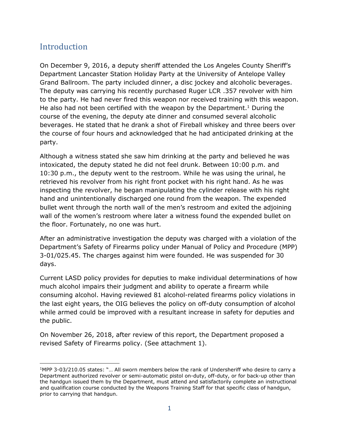# <span id="page-2-0"></span>**Introduction**

On December 9, 2016, a deputy sheriff attended the Los Angeles County Sheriff's Department Lancaster Station Holiday Party at the University of Antelope Valley Grand Ballroom. The party included dinner, a disc jockey and alcoholic beverages. The deputy was carrying his recently purchased Ruger LCR .357 revolver with him to the party. He had never fired this weapon nor received training with this weapon. He also had not been certified with the weapon by the Department. <sup>1</sup> During the course of the evening, the deputy ate dinner and consumed several alcoholic beverages. He stated that he drank a shot of Fireball whiskey and three beers over the course of four hours and acknowledged that he had anticipated drinking at the party.

Although a witness stated she saw him drinking at the party and believed he was intoxicated, the deputy stated he did not feel drunk. Between 10:00 p.m. and 10:30 p.m., the deputy went to the restroom. While he was using the urinal, he retrieved his revolver from his right front pocket with his right hand. As he was inspecting the revolver, he began manipulating the cylinder release with his right hand and unintentionally discharged one round from the weapon. The expended bullet went through the north wall of the men's restroom and exited the adjoining wall of the women's restroom where later a witness found the expended bullet on the floor. Fortunately, no one was hurt.

After an administrative investigation the deputy was charged with a violation of the Department's Safety of Firearms policy under Manual of Policy and Procedure (MPP) 3-01/025.45. The charges against him were founded. He was suspended for 30 days.

Current LASD policy provides for deputies to make individual determinations of how much alcohol impairs their judgment and ability to operate a firearm while consuming alcohol. Having reviewed 81 alcohol-related firearms policy violations in the last eight years, the OIG believes the policy on off-duty consumption of alcohol while armed could be improved with a resultant increase in safety for deputies and the public.

On November 26, 2018, after review of this report, the Department proposed a revised Safety of Firearms policy. (See attachment 1).

 $\overline{a}$ <sup>1</sup>MPP 3-03/210.05 states: "… All sworn members below the rank of Undersheriff who desire to carry a Department authorized revolver or semi-automatic pistol on-duty, off-duty, or for back-up other than the handgun issued them by the Department, must attend and satisfactorily complete an instructional and qualification course conducted by the Weapons Training Staff for that specific class of handgun, prior to carrying that handgun.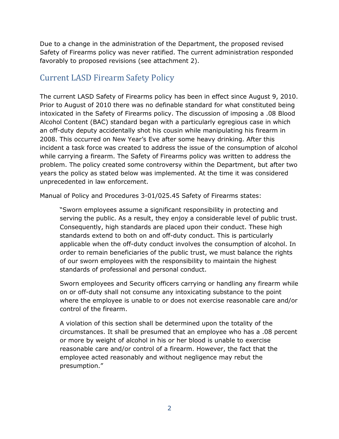Due to a change in the administration of the Department, the proposed revised Safety of Firearms policy was never ratified. The current administration responded favorably to proposed revisions (see attachment 2).

## <span id="page-3-0"></span>Current LASD Firearm Safety Policy

The current LASD Safety of Firearms policy has been in effect since August 9, 2010. Prior to August of 2010 there was no definable standard for what constituted being intoxicated in the Safety of Firearms policy. The discussion of imposing a .08 Blood Alcohol Content (BAC) standard began with a particularly egregious case in which an off-duty deputy accidentally shot his cousin while manipulating his firearm in 2008. This occurred on New Year's Eve after some heavy drinking. After this incident a task force was created to address the issue of the consumption of alcohol while carrying a firearm. The Safety of Firearms policy was written to address the problem. The policy created some controversy within the Department, but after two years the policy as stated below was implemented. At the time it was considered unprecedented in law enforcement.

Manual of Policy and Procedures 3-01/025.45 Safety of Firearms states:

"Sworn employees assume a significant responsibility in protecting and serving the public. As a result, they enjoy a considerable level of public trust. Consequently, high standards are placed upon their conduct. These high standards extend to both on and off-duty conduct. This is particularly applicable when the off-duty conduct involves the consumption of alcohol. In order to remain beneficiaries of the public trust, we must balance the rights of our sworn employees with the responsibility to maintain the highest standards of professional and personal conduct.

Sworn employees and Security officers carrying or handling any firearm while on or off-duty shall not consume any intoxicating substance to the point where the employee is unable to or does not exercise reasonable care and/or control of the firearm.

A violation of this section shall be determined upon the totality of the circumstances. It shall be presumed that an employee who has a .08 percent or more by weight of alcohol in his or her blood is unable to exercise reasonable care and/or control of a firearm. However, the fact that the employee acted reasonably and without negligence may rebut the presumption."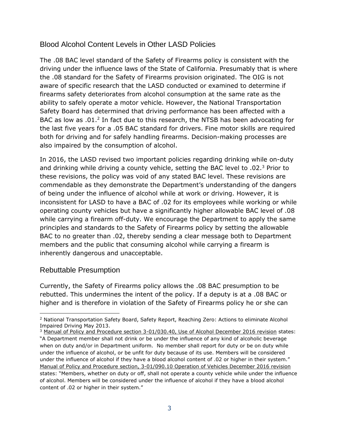#### <span id="page-4-0"></span>Blood Alcohol Content Levels in Other LASD Policies

The .08 BAC level standard of the Safety of Firearms policy is consistent with the driving under the influence laws of the State of California. Presumably that is where the .08 standard for the Safety of Firearms provision originated. The OIG is not aware of specific research that the LASD conducted or examined to determine if firearms safety deteriorates from alcohol consumption at the same rate as the ability to safely operate a motor vehicle. However, the National Transportation Safety Board has determined that driving performance has been affected with a BAC as low as .01.<sup>2</sup> In fact due to this research, the NTSB has been advocating for the last five years for a .05 BAC standard for drivers. Fine motor skills are required both for driving and for safely handling firearms. Decision-making processes are also impaired by the consumption of alcohol.

In 2016, the LASD revised two important policies regarding drinking while on-duty and drinking while driving a county vehicle, setting the BAC level to  $.02<sup>3</sup>$  Prior to these revisions, the policy was void of any stated BAC level. These revisions are commendable as they demonstrate the Department's understanding of the dangers of being under the influence of alcohol while at work or driving. However, it is inconsistent for LASD to have a BAC of .02 for its employees while working or while operating county vehicles but have a significantly higher allowable BAC level of .08 while carrying a firearm off-duty. We encourage the Department to apply the same principles and standards to the Safety of Firearms policy by setting the allowable BAC to no greater than .02, thereby sending a clear message both to Department members and the public that consuming alcohol while carrying a firearm is inherently dangerous and unacceptable.

#### <span id="page-4-1"></span>Rebuttable Presumption

Currently, the Safety of Firearms policy allows the .08 BAC presumption to be rebutted. This undermines the intent of the policy. If a deputy is at a .08 BAC or higher and is therefore in violation of the Safety of Firearms policy he or she can

 $\overline{a}$ <sup>2</sup> National Transportation Safety Board, Safety Report, Reaching Zero: Actions to eliminate Alcohol Impaired Driving May 2013.

<sup>&</sup>lt;sup>3</sup> Manual of Policy and Procedure section 3-01/030.40, Use of Alcohol December 2016 revision states: "A Department member shall not drink or be under the influence of any kind of alcoholic beverage when on duty and/or in Department uniform. No member shall report for duty or be on duty while under the influence of alcohol, or be unfit for duty because of its use. Members will be considered under the influence of alcohol if they have a blood alcohol content of .02 or higher in their system." Manual of Policy and Procedure section, 3-01/090.10 Operation of Vehicles December 2016 revision states: "Members, whether on duty or off, shall not operate a county vehicle while under the influence of alcohol. Members will be considered under the influence of alcohol if they have a blood alcohol content of .02 or higher in their system."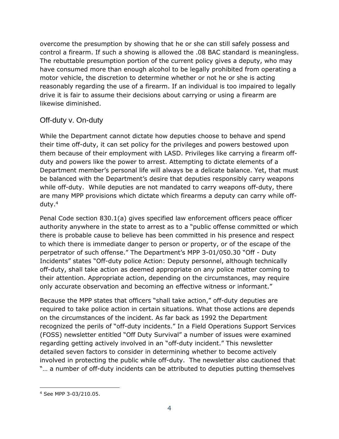overcome the presumption by showing that he or she can still safely possess and control a firearm. If such a showing is allowed the .08 BAC standard is meaningless. The rebuttable presumption portion of the current policy gives a deputy, who may have consumed more than enough alcohol to be legally prohibited from operating a motor vehicle, the discretion to determine whether or not he or she is acting reasonably regarding the use of a firearm. If an individual is too impaired to legally drive it is fair to assume their decisions about carrying or using a firearm are likewise diminished.

#### <span id="page-5-0"></span>Off-duty v. On-duty

While the Department cannot dictate how deputies choose to behave and spend their time off-duty, it can set policy for the privileges and powers bestowed upon them because of their employment with LASD. Privileges like carrying a firearm offduty and powers like the power to arrest. Attempting to dictate elements of a Department member's personal life will always be a delicate balance. Yet, that must be balanced with the Department's desire that deputies responsibly carry weapons while off-duty. While deputies are not mandated to carry weapons off-duty, there are many MPP provisions which dictate which firearms a deputy can carry while offduty. 4

Penal Code section 830.1(a) gives specified law enforcement officers peace officer authority anywhere in the state to arrest as to a "public offense committed or which there is probable cause to believe has been committed in his presence and respect to which there is immediate danger to person or property, or of the escape of the perpetrator of such offense." The Department's MPP 3-01/050.30 "Off - Duty Incidents" states "Off-duty police Action: Deputy personnel, although technically off-duty, shall take action as deemed appropriate on any police matter coming to their attention. Appropriate action, depending on the circumstances, may require only accurate observation and becoming an effective witness or informant."

Because the MPP states that officers "shall take action," off-duty deputies are required to take police action in certain situations. What those actions are depends on the circumstances of the incident. As far back as 1992 the Department recognized the perils of "off-duty incidents." In a Field Operations Support Services (FOSS) newsletter entitled "Off Duty Survival" a number of issues were examined regarding getting actively involved in an "off-duty incident." This newsletter detailed seven factors to consider in determining whether to become actively involved in protecting the public while off-duty. The newsletter also cautioned that "... a number of off-duty incidents can be attributed to deputies putting themselves

j <sup>4</sup> See MPP 3-03/210.05.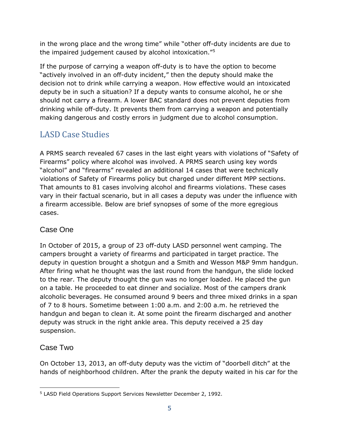in the wrong place and the wrong time" while "other off-duty incidents are due to the impaired judgement caused by alcohol intoxication."<sup>5</sup>

If the purpose of carrying a weapon off-duty is to have the option to become "actively involved in an off-duty incident," then the deputy should make the decision not to drink while carrying a weapon. How effective would an intoxicated deputy be in such a situation? If a deputy wants to consume alcohol, he or she should not carry a firearm. A lower BAC standard does not prevent deputies from drinking while off-duty. It prevents them from carrying a weapon and potentially making dangerous and costly errors in judgment due to alcohol consumption.

# <span id="page-6-0"></span>LASD Case Studies

A PRMS search revealed 67 cases in the last eight years with violations of "Safety of Firearms" policy where alcohol was involved. A PRMS search using key words "alcohol" and "firearms" revealed an additional 14 cases that were technically violations of Safety of Firearms policy but charged under different MPP sections. That amounts to 81 cases involving alcohol and firearms violations. These cases vary in their factual scenario, but in all cases a deputy was under the influence with a firearm accessible. Below are brief synopses of some of the more egregious cases.

## <span id="page-6-1"></span>Case One

In October of 2015, a group of 23 off-duty LASD personnel went camping. The campers brought a variety of firearms and participated in target practice. The deputy in question brought a shotgun and a Smith and Wesson M&P 9mm handgun. After firing what he thought was the last round from the handgun, the slide locked to the rear. The deputy thought the gun was no longer loaded. He placed the gun on a table. He proceeded to eat dinner and socialize. Most of the campers drank alcoholic beverages. He consumed around 9 beers and three mixed drinks in a span of 7 to 8 hours. Sometime between 1:00 a.m. and 2:00 a.m. he retrieved the handgun and began to clean it. At some point the firearm discharged and another deputy was struck in the right ankle area. This deputy received a 25 day suspension.

## <span id="page-6-2"></span>Case Two

On October 13, 2013, an off-duty deputy was the victim of "doorbell ditch" at the hands of neighborhood children. After the prank the deputy waited in his car for the

j <sup>5</sup> LASD Field Operations Support Services Newsletter December 2, 1992.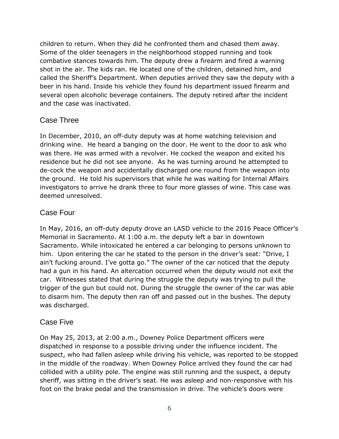children to return. When they did he confronted them and chased them away. Some of the older teenagers in the neighborhood stopped running and took combative stances towards him. The deputy drew a firearm and fired a warning shot in the air. The kids ran. He located one of the children, detained him, and called the Sheriff's Department. When deputies arrived they saw the deputy with a beer in his hand. Inside his vehicle they found his department issued firearm and several open alcoholic beverage containers. The deputy retired after the incident and the case was inactivated.

#### <span id="page-7-0"></span>Case Three

In December, 2010, an off-duty deputy was at home watching television and drinking wine. He heard a banging on the door. He went to the door to ask who was there. He was armed with a revolver. He cocked the weapon and exited his residence but he did not see anyone. As he was turning around he attempted to de-cock the weapon and accidentally discharged one round from the weapon into the ground. He told his supervisors that while he was waiting for Internal Affairs investigators to arrive he drank three to four more glasses of wine. This case was deemed unresolved.

#### <span id="page-7-1"></span>Case Four

In May, 2016, an off-duty deputy drove an LASD vehicle to the 2016 Peace Officer's Memorial in Sacramento. At 1:00 a.m. the deputy left a bar in downtown Sacramento. While intoxicated he entered a car belonging to persons unknown to him. Upon entering the car he stated to the person in the driver's seat: "Drive, I ain't fucking around. I've gotta go." The owner of the car noticed that the deputy had a gun in his hand. An altercation occurred when the deputy would not exit the car. Witnesses stated that during the struggle the deputy was trying to pull the trigger of the gun but could not. During the struggle the owner of the car was able to disarm him. The deputy then ran off and passed out in the bushes. The deputy was discharged.

#### <span id="page-7-2"></span>Case Five

On May 25, 2013, at 2:00 a.m., Downey Police Department officers were dispatched in response to a possible driving under the influence incident. The suspect, who had fallen asleep while driving his vehicle, was reported to be stopped in the middle of the roadway. When Downey Police arrived they found the car had collided with a utility pole. The engine was still running and the suspect, a deputy sheriff, was sitting in the driver's seat. He was asleep and non-responsive with his foot on the brake pedal and the transmission in drive. The vehicle's doors were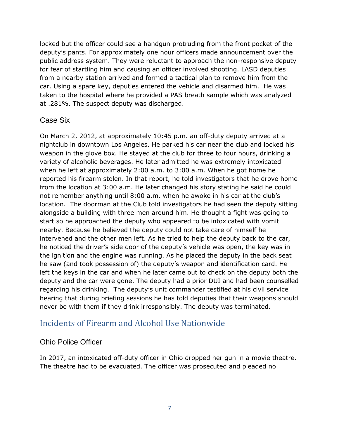locked but the officer could see a handgun protruding from the front pocket of the deputy's pants. For approximately one hour officers made announcement over the public address system. They were reluctant to approach the non-responsive deputy for fear of startling him and causing an officer involved shooting. LASD deputies from a nearby station arrived and formed a tactical plan to remove him from the car. Using a spare key, deputies entered the vehicle and disarmed him. He was taken to the hospital where he provided a PAS breath sample which was analyzed at .281%. The suspect deputy was discharged.

#### <span id="page-8-0"></span>Case Six

On March 2, 2012, at approximately 10:45 p.m. an off-duty deputy arrived at a nightclub in downtown Los Angeles. He parked his car near the club and locked his weapon in the glove box. He stayed at the club for three to four hours, drinking a variety of alcoholic beverages. He later admitted he was extremely intoxicated when he left at approximately 2:00 a.m. to 3:00 a.m. When he got home he reported his firearm stolen. In that report, he told investigators that he drove home from the location at 3:00 a.m. He later changed his story stating he said he could not remember anything until 8:00 a.m. when he awoke in his car at the club's location. The doorman at the Club told investigators he had seen the deputy sitting alongside a building with three men around him. He thought a fight was going to start so he approached the deputy who appeared to be intoxicated with vomit nearby. Because he believed the deputy could not take care of himself he intervened and the other men left. As he tried to help the deputy back to the car, he noticed the driver's side door of the deputy's vehicle was open, the key was in the ignition and the engine was running. As he placed the deputy in the back seat he saw (and took possession of) the deputy's weapon and identification card. He left the keys in the car and when he later came out to check on the deputy both the deputy and the car were gone. The deputy had a prior DUI and had been counselled regarding his drinking. The deputy's unit commander testified at his civil service hearing that during briefing sessions he has told deputies that their weapons should never be with them if they drink irresponsibly. The deputy was terminated.

## <span id="page-8-1"></span>Incidents of Firearm and Alcohol Use Nationwide

#### <span id="page-8-2"></span>Ohio Police Officer

In 2017, an intoxicated off-duty officer in Ohio dropped her gun in a movie theatre. The theatre had to be evacuated. The officer was prosecuted and pleaded no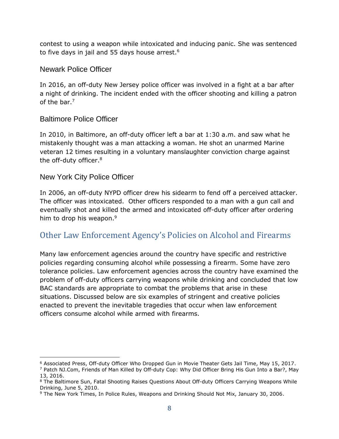contest to using a weapon while intoxicated and inducing panic. She was sentenced to five days in jail and 55 days house arrest.<sup>6</sup>

#### <span id="page-9-0"></span>Newark Police Officer

In 2016, an off-duty New Jersey police officer was involved in a fight at a bar after a night of drinking. The incident ended with the officer shooting and killing a patron of the bar.<sup>7</sup>

#### <span id="page-9-1"></span>Baltimore Police Officer

In 2010, in Baltimore, an off-duty officer left a bar at 1:30 a.m. and saw what he mistakenly thought was a man attacking a woman. He shot an unarmed Marine veteran 12 times resulting in a voluntary manslaughter conviction charge against the off-duty officer.<sup>8</sup>

#### <span id="page-9-2"></span>New York City Police Officer

j

In 2006, an off-duty NYPD officer drew his sidearm to fend off a perceived attacker. The officer was intoxicated. Other officers responded to a man with a gun call and eventually shot and killed the armed and intoxicated off-duty officer after ordering him to drop his weapon.<sup>9</sup>

## <span id="page-9-3"></span>Other Law Enforcement Agency's Policies on Alcohol and Firearms

Many law enforcement agencies around the country have specific and restrictive policies regarding consuming alcohol while possessing a firearm. Some have zero tolerance policies. Law enforcement agencies across the country have examined the problem of off-duty officers carrying weapons while drinking and concluded that low BAC standards are appropriate to combat the problems that arise in these situations. Discussed below are six examples of stringent and creative policies enacted to prevent the inevitable tragedies that occur when law enforcement officers consume alcohol while armed with firearms.

<sup>6</sup> Associated Press, Off-duty Officer Who Dropped Gun in Movie Theater Gets Jail Time, May 15, 2017.

<sup>7</sup> Patch NJ.Com, Friends of Man Killed by Off-duty Cop: Why Did Officer Bring His Gun Into a Bar?, May 13, 2016.

<sup>&</sup>lt;sup>8</sup> The Baltimore Sun, Fatal Shooting Raises Questions About Off-duty Officers Carrying Weapons While Drinking, June 5, 2010.

<sup>9</sup> The New York Times, In Police Rules, Weapons and Drinking Should Not Mix, January 30, 2006.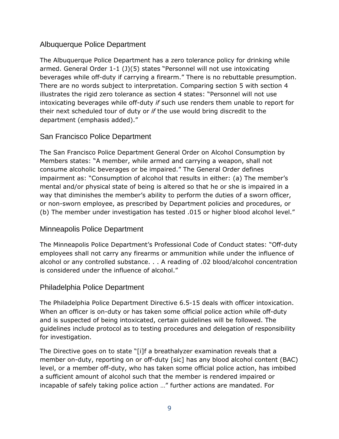#### <span id="page-10-0"></span>Albuquerque Police Department

The Albuquerque Police Department has a zero tolerance policy for drinking while armed. General Order 1-1 (J)(5) states "Personnel will not use intoxicating beverages while off-duty if carrying a firearm." There is no rebuttable presumption. There are no words subject to interpretation. Comparing section 5 with section 4 illustrates the rigid zero tolerance as section 4 states: "Personnel will not use intoxicating beverages while off-duty *if* such use renders them unable to report for their next scheduled tour of duty or *if* the use would bring discredit to the department (emphasis added)."

### <span id="page-10-1"></span>San Francisco Police Department

The San Francisco Police Department General Order on Alcohol Consumption by Members states: "A member, while armed and carrying a weapon, shall not consume alcoholic beverages or be impaired." The General Order defines impairment as: "Consumption of alcohol that results in either: (a) The member's mental and/or physical state of being is altered so that he or she is impaired in a way that diminishes the member's ability to perform the duties of a sworn officer, or non-sworn employee, as prescribed by Department policies and procedures, or (b) The member under investigation has tested .015 or higher blood alcohol level."

#### <span id="page-10-2"></span>Minneapolis Police Department

The Minneapolis Police Department's Professional Code of Conduct states: "Off-duty employees shall not carry any firearms or ammunition while under the influence of alcohol or any controlled substance. . . A reading of .02 blood/alcohol concentration is considered under the influence of alcohol."

#### <span id="page-10-3"></span>Philadelphia Police Department

The Philadelphia Police Department Directive 6.5-15 deals with officer intoxication. When an officer is on-duty or has taken some official police action while off-duty and is suspected of being intoxicated, certain guidelines will be followed. The guidelines include protocol as to testing procedures and delegation of responsibility for investigation.

The Directive goes on to state "[i]f a breathalyzer examination reveals that a member on-duty, reporting on or off-duty [sic] has any blood alcohol content (BAC) level, or a member off-duty, who has taken some official police action, has imbibed a sufficient amount of alcohol such that the member is rendered impaired or incapable of safely taking police action …" further actions are mandated. For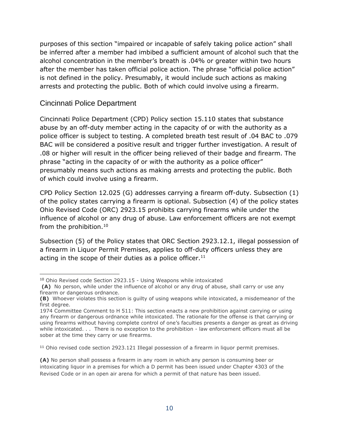purposes of this section "impaired or incapable of safely taking police action" shall be inferred after a member had imbibed a sufficient amount of alcohol such that the alcohol concentration in the member's breath is .04% or greater within two hours after the member has taken official police action. The phrase "official police action" is not defined in the policy. Presumably, it would include such actions as making arrests and protecting the public. Both of which could involve using a firearm.

#### <span id="page-11-0"></span>Cincinnati Police Department

Cincinnati Police Department (CPD) Policy section 15.110 states that substance abuse by an off-duty member acting in the capacity of or with the authority as a police officer is subject to testing. A completed breath test result of .04 BAC to .079 BAC will be considered a positive result and trigger further investigation. A result of .08 or higher will result in the officer being relieved of their badge and firearm. The phrase "acting in the capacity of or with the authority as a police officer" presumably means such actions as making arrests and protecting the public. Both of which could involve using a firearm.

CPD Policy Section 12.025 (G) addresses carrying a firearm off-duty. Subsection (1) of the policy states carrying a firearm is optional. Subsection (4) of the policy states Ohio Revised Code (ORC) 2923.15 prohibits carrying firearms while under the influence of alcohol or any drug of abuse. Law enforcement officers are not exempt from the prohibition.<sup>10</sup>

Subsection (5) of the Policy states that ORC Section 2923.12.1, illegal possession of a firearm in Liquor Permit Premises, applies to off-duty officers unless they are acting in the scope of their duties as a police officer.<sup>11</sup>

<sup>11</sup> Ohio revised code section 2923.121 Illegal possession of a firearm in liquor permit premises.

**(A)** No person shall possess a firearm in any room in which any person is consuming beer or intoxicating liquor in a premises for which a D permit has been issued under Chapter 4303 of the Revised Code or in an open air arena for which a permit of that nature has been issued.

j <sup>10</sup> Ohio Revised code Section 2923.15 - Using Weapons while intoxicated

**<sup>(</sup>A)** No person, while under the influence of alcohol or any drug of abuse, shall carry or use any firearm or dangerous ordnance.

**<sup>(</sup>B)** Whoever violates this section is guilty of using weapons while intoxicated, a misdemeanor of the first degree.

<sup>1974</sup> Committee Comment to H 511: This section enacts a new prohibition against carrying or using any firearm or dangerous ordnance while intoxicated. The rationale for the offense is that carrying or using firearms without having complete control of one's faculties presents a danger as great as driving while intoxicated. . . There is no exception to the prohibition - law enforcement officers must all be sober at the time they carry or use firearms.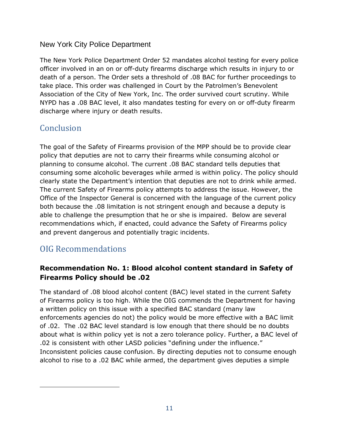#### <span id="page-12-0"></span>New York City Police Department

The New York Police Department Order 52 mandates alcohol testing for every police officer involved in an on or off-duty firearms discharge which results in injury to or death of a person. The Order sets a threshold of .08 BAC for further proceedings to take place. This order was challenged in Court by the Patrolmen's Benevolent Association of the City of New York, Inc. The order survived court scrutiny. While NYPD has a .08 BAC level, it also mandates testing for every on or off-duty firearm discharge where injury or death results.

# <span id="page-12-1"></span>**Conclusion**

The goal of the Safety of Firearms provision of the MPP should be to provide clear policy that deputies are not to carry their firearms while consuming alcohol or planning to consume alcohol. The current .08 BAC standard tells deputies that consuming some alcoholic beverages while armed is within policy. The policy should clearly state the Department's intention that deputies are not to drink while armed. The current Safety of Firearms policy attempts to address the issue. However, the Office of the Inspector General is concerned with the language of the current policy both because the .08 limitation is not stringent enough and because a deputy is able to challenge the presumption that he or she is impaired. Below are several recommendations which, if enacted, could advance the Safety of Firearms policy and prevent dangerous and potentially tragic incidents.

# <span id="page-12-2"></span>OIG Recommendations

j

## **Recommendation No. 1: Blood alcohol content standard in Safety of Firearms Policy should be .02**

The standard of .08 blood alcohol content (BAC) level stated in the current Safety of Firearms policy is too high. While the OIG commends the Department for having a written policy on this issue with a specified BAC standard (many law enforcements agencies do not) the policy would be more effective with a BAC limit of .02. The .02 BAC level standard is low enough that there should be no doubts about what is within policy yet is not a zero tolerance policy. Further, a BAC level of .02 is consistent with other LASD policies "defining under the influence." Inconsistent policies cause confusion. By directing deputies not to consume enough alcohol to rise to a .02 BAC while armed, the department gives deputies a simple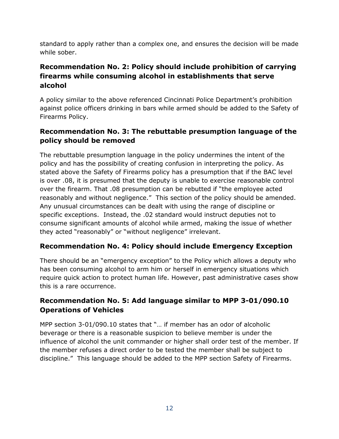standard to apply rather than a complex one, and ensures the decision will be made while sober.

#### **Recommendation No. 2: Policy should include prohibition of carrying firearms while consuming alcohol in establishments that serve alcohol**

A policy similar to the above referenced Cincinnati Police Department's prohibition against police officers drinking in bars while armed should be added to the Safety of Firearms Policy.

### **Recommendation No. 3: The rebuttable presumption language of the policy should be removed**

The rebuttable presumption language in the policy undermines the intent of the policy and has the possibility of creating confusion in interpreting the policy. As stated above the Safety of Firearms policy has a presumption that if the BAC level is over .08, it is presumed that the deputy is unable to exercise reasonable control over the firearm. That .08 presumption can be rebutted if "the employee acted reasonably and without negligence." This section of the policy should be amended. Any unusual circumstances can be dealt with using the range of discipline or specific exceptions. Instead, the .02 standard would instruct deputies not to consume significant amounts of alcohol while armed, making the issue of whether they acted "reasonably" or "without negligence" irrelevant.

#### **Recommendation No. 4: Policy should include Emergency Exception**

There should be an "emergency exception" to the Policy which allows a deputy who has been consuming alcohol to arm him or herself in emergency situations which require quick action to protect human life. However, past administrative cases show this is a rare occurrence.

## **Recommendation No. 5: Add language similar to MPP 3-01/090.10 Operations of Vehicles**

MPP section 3-01/090.10 states that "… if member has an odor of alcoholic beverage or there is a reasonable suspicion to believe member is under the influence of alcohol the unit commander or higher shall order test of the member. If the member refuses a direct order to be tested the member shall be subject to discipline." This language should be added to the MPP section Safety of Firearms.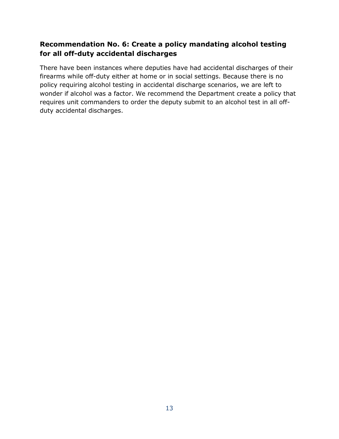### **Recommendation No. 6: Create a policy mandating alcohol testing for all off-duty accidental discharges**

There have been instances where deputies have had accidental discharges of their firearms while off-duty either at home or in social settings. Because there is no policy requiring alcohol testing in accidental discharge scenarios, we are left to wonder if alcohol was a factor. We recommend the Department create a policy that requires unit commanders to order the deputy submit to an alcohol test in all offduty accidental discharges.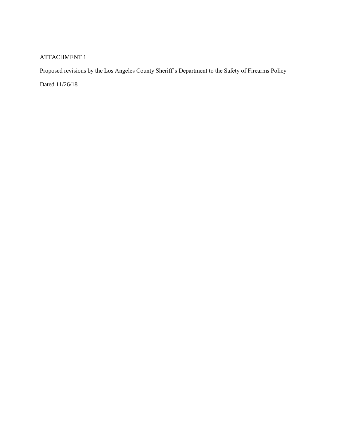#### ATTACHMENT 1

Proposed revisions by the Los Angeles County Sheriff's Department to the Safety of Firearms Policy

Dated 11/26/18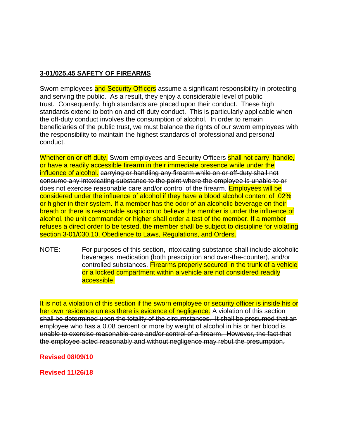#### **3-01/025.45 SAFETY OF FIREARMS**

Sworn employees and Security Officers assume a significant responsibility in protecting and serving the public. As a result, they enjoy a considerable level of public trust. Consequently, high standards are placed upon their conduct. These high standards extend to both on and off-duty conduct. This is particularly applicable when the off-duty conduct involves the consumption of alcohol. In order to remain beneficiaries of the public trust, we must balance the rights of our sworn employees with the responsibility to maintain the highest standards of professional and personal conduct.

Whether on or off-duty, Sworn employees and Security Officers shall not carry, handle, or have a readily accessible firearm in their immediate presence while under the influence of alcohol. carrying or handling any firearm while on or off-duty shall not consume any intoxicating substance to the point where the employee is unable to or does not exercise reasonable care and/or control of the firearm. Employees will be considered under the influence of alcohol if they have a blood alcohol content of .02% or higher in their system. If a member has the odor of an alcoholic beverage on their breath or there is reasonable suspicion to believe the member is under the influence of alcohol, the unit commander or higher shall order a test of the member. If a member refuses a direct order to be tested, the member shall be subject to discipline for violating section 3-01/030.10, Obedience to Laws, Regulations, and Orders.

NOTE: For purposes of this section, intoxicating substance shall include alcoholic beverages, medication (both prescription and over-the-counter), and/or controlled substances. Firearms properly secured in the trunk of a vehicle or a locked compartment within a vehicle are not considered readily accessible.

It is not a violation of this section if the sworn employee or security officer is inside his or her own residence unless there is evidence of negligence. A violation of this section shall be determined upon the totality of the circumstances. It shall be presumed that an employee who has a 0.08 percent or more by weight of alcohol in his or her blood is unable to exercise reasonable care and/or control of a firearm. However, the fact that the employee acted reasonably and without negligence may rebut the presumption.

#### **Revised 08/09/10**

**Revised 11/26/18**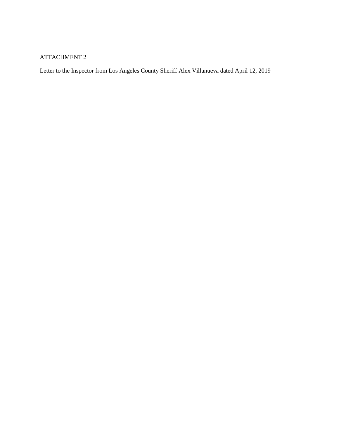#### ATTACHMENT 2

Letter to the Inspector from Los Angeles County Sheriff Alex Villanueva dated April 12, 2019